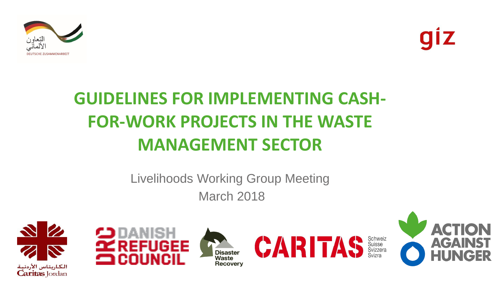



#### **GUIDELINES FOR IMPLEMENTING CASH-FOR-WORK PROJECTS IN THE WASTE MANAGEMENT SECTOR**

#### Livelihoods Working Group Meeting March 2018









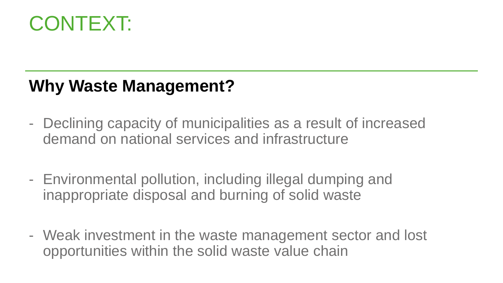

#### **Why Waste Management?**

- Declining capacity of municipalities as a result of increased demand on national services and infrastructure
- Environmental pollution, including illegal dumping and inappropriate disposal and burning of solid waste
- Weak investment in the waste management sector and lost opportunities within the solid waste value chain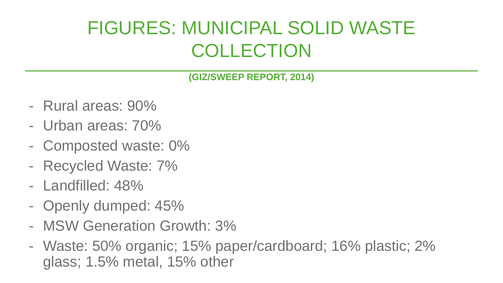#### FIGURES: MUNICIPAL SOLID WASTE COLLECTION

**(GIZ/SWEEP REPORT, 2014)** 

- Rural areas: 90%
- Urban areas: 70%
- Composted waste: 0%
- Recycled Waste: 7%
- Landfilled: 48%
- Openly dumped: 45%
- MSW Generation Growth: 3%
- Waste: 50% organic; 15% paper/cardboard; 16% plastic; 2% glass; 1.5% metal, 15% other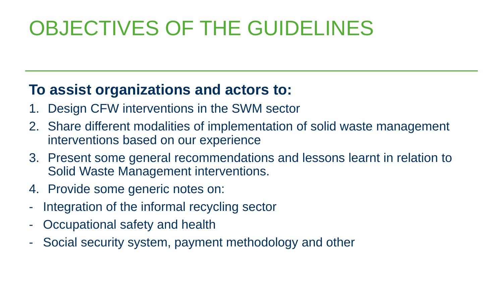## OBJECTIVES OF THE GUIDELINES

#### **To assist organizations and actors to:**

- Design CFW interventions in the SWM sector
- 2. Share different modalities of implementation of solid waste management interventions based on our experience
- 3. Present some general recommendations and lessons learnt in relation to Solid Waste Management interventions.
- 4. Provide some generic notes on:
- Integration of the informal recycling sector
- Occupational safety and health
- Social security system, payment methodology and other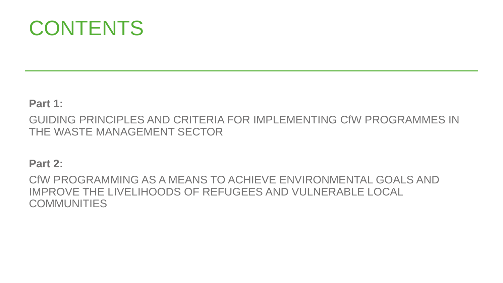

#### **Part 1:**

GUIDING PRINCIPLES AND CRITERIA FOR IMPLEMENTING CfW PROGRAMMES IN THE WASTE MANAGEMENT SECTOR

#### **Part 2:**

CfW PROGRAMMING AS A MEANS TO ACHIEVE ENVIRONMENTAL GOALS AND IMPROVE THE LIVELIHOODS OF REFUGEES AND VULNERABLE LOCAL COMMUNITIES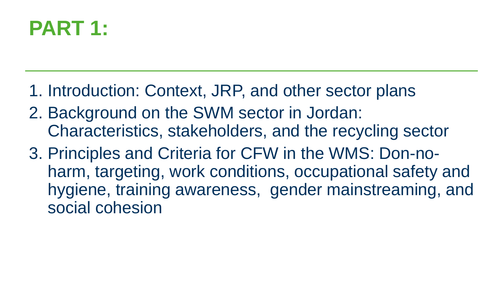### **PART 1:**

- 1. Introduction: Context, JRP, and other sector plans
- 2. Background on the SWM sector in Jordan: Characteristics, stakeholders, and the recycling sector
- 3. Principles and Criteria for CFW in the WMS: Don-noharm, targeting, work conditions, occupational safety and hygiene, training awareness, gender mainstreaming, and social cohesion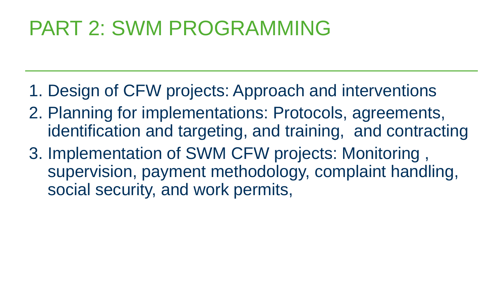### PART 2: SWM PROGRAMMING

- 1. Design of CFW projects: Approach and interventions
- 2. Planning for implementations: Protocols, agreements, identification and targeting, and training, and contracting
- 3. Implementation of SWM CFW projects: Monitoring , supervision, payment methodology, complaint handling, social security, and work permits,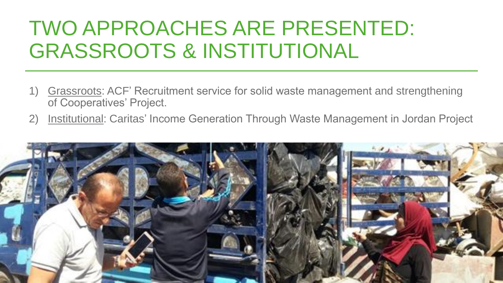### TWO APPROACHES ARE PRESENTED: GRASSROOTS & INSTITUTIONAL

- 1) Grassroots: ACF' Recruitment service for solid waste management and strengthening of Cooperatives' Project.
- 2) Institutional: Caritas' Income Generation Through Waste Management in Jordan Project

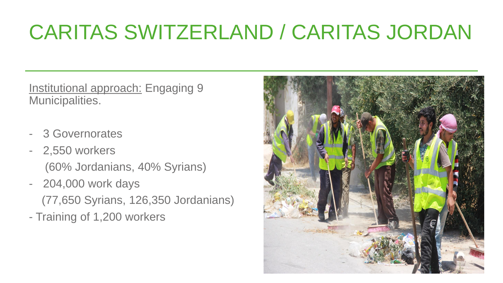## CARITAS SWITZERLAND / CARITAS JORDAN

Institutional approach: Engaging 9 Municipalities.

- 3 Governorates
- 2,550 workers (60% Jordanians, 40% Syrians)
- 204,000 work days (77,650 Syrians, 126,350 Jordanians)
- Training of 1,200 workers

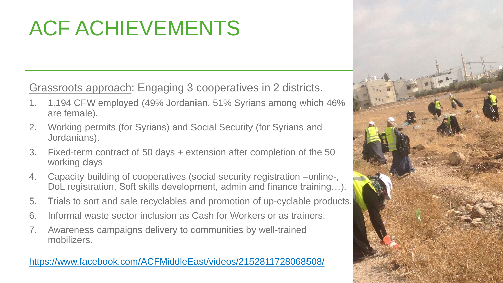## ACF ACHIEVEMENTS

Grassroots approach: Engaging 3 cooperatives in 2 districts.

- 1. 1.194 CFW employed (49% Jordanian, 51% Syrians among which 46% are female).
- 2. Working permits (for Syrians) and Social Security (for Syrians and Jordanians).
- 3. Fixed-term contract of 50 days + extension after completion of the 50 working days
- 4. Capacity building of cooperatives (social security registration –online-, DoL registration, Soft skills development, admin and finance training…).
- 5. Trials to sort and sale recyclables and promotion of up-cyclable products.
- 6. Informal waste sector inclusion as Cash for Workers or as trainers.
- 7. Awareness campaigns delivery to communities by well-trained mobilizers.

#### <https://www.facebook.com/ACFMiddleEast/videos/2152811728068508/>